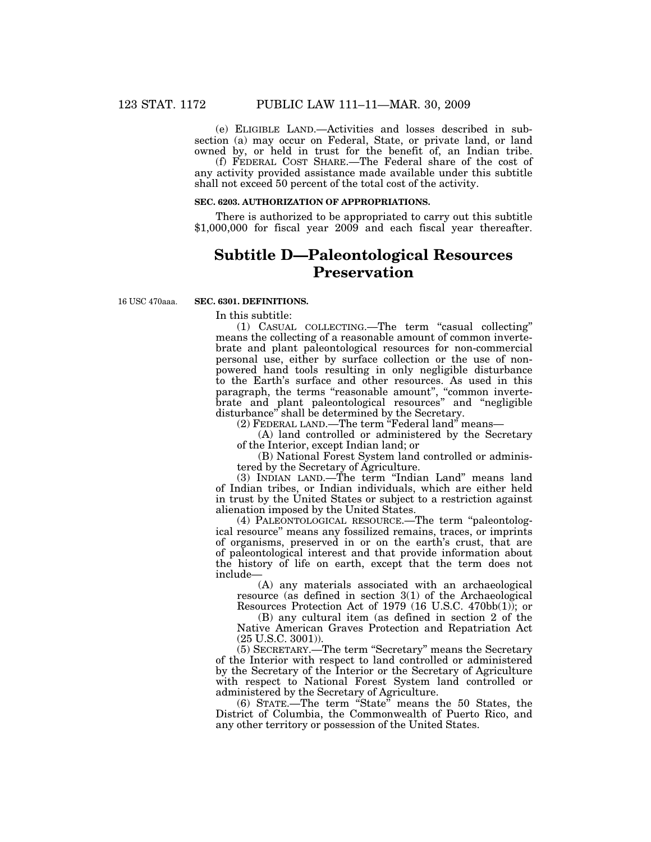(e) ELIGIBLE LAND.—Activities and losses described in subsection (a) may occur on Federal, State, or private land, or land owned by, or held in trust for the benefit of, an Indian tribe.

(f) FEDERAL COST SHARE.—The Federal share of the cost of any activity provided assistance made available under this subtitle shall not exceed 50 percent of the total cost of the activity.

#### **SEC. 6203. AUTHORIZATION OF APPROPRIATIONS.**

There is authorized to be appropriated to carry out this subtitle \$1,000,000 for fiscal year 2009 and each fiscal year thereafter.

# **Subtitle D—Paleontological Resources Preservation**

16 USC 470aaa.

## **SEC. 6301. DEFINITIONS.**

In this subtitle:

(1) CASUAL COLLECTING.—The term ''casual collecting'' means the collecting of a reasonable amount of common invertebrate and plant paleontological resources for non-commercial personal use, either by surface collection or the use of nonpowered hand tools resulting in only negligible disturbance to the Earth's surface and other resources. As used in this paragraph, the terms "reasonable amount", "common invertebrate and plant paleontological resources'' and ''negligible disturbance'' shall be determined by the Secretary.

(2) FEDERAL LAND.—The term ''Federal land'' means—

(A) land controlled or administered by the Secretary of the Interior, except Indian land; or

(B) National Forest System land controlled or administered by the Secretary of Agriculture.

(3) INDIAN LAND.—The term ''Indian Land'' means land of Indian tribes, or Indian individuals, which are either held in trust by the United States or subject to a restriction against alienation imposed by the United States.

(4) PALEONTOLOGICAL RESOURCE.—The term ''paleontological resource'' means any fossilized remains, traces, or imprints of organisms, preserved in or on the earth's crust, that are of paleontological interest and that provide information about the history of life on earth, except that the term does not include—

(A) any materials associated with an archaeological resource (as defined in section 3(1) of the Archaeological Resources Protection Act of 1979 (16 U.S.C. 470bb(1)); or

(B) any cultural item (as defined in section 2 of the Native American Graves Protection and Repatriation Act (25 U.S.C. 3001)).

(5) SECRETARY.—The term ''Secretary'' means the Secretary of the Interior with respect to land controlled or administered by the Secretary of the Interior or the Secretary of Agriculture with respect to National Forest System land controlled or administered by the Secretary of Agriculture.

(6) STATE.—The term ''State'' means the 50 States, the District of Columbia, the Commonwealth of Puerto Rico, and any other territory or possession of the United States.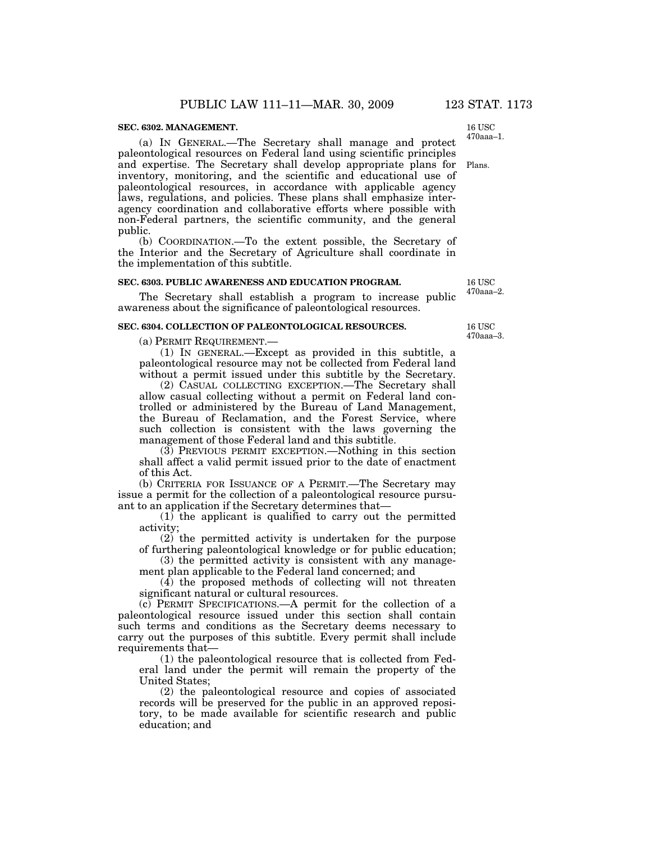## **SEC. 6302. MANAGEMENT.**

(a) IN GENERAL.—The Secretary shall manage and protect paleontological resources on Federal land using scientific principles and expertise. The Secretary shall develop appropriate plans for inventory, monitoring, and the scientific and educational use of paleontological resources, in accordance with applicable agency laws, regulations, and policies. These plans shall emphasize interagency coordination and collaborative efforts where possible with non-Federal partners, the scientific community, and the general public. Plans. 470aaa–1.

(b) COORDINATION.—To the extent possible, the Secretary of the Interior and the Secretary of Agriculture shall coordinate in the implementation of this subtitle.

#### **SEC. 6303. PUBLIC AWARENESS AND EDUCATION PROGRAM.**

The Secretary shall establish a program to increase public awareness about the significance of paleontological resources.

#### **SEC. 6304. COLLECTION OF PALEONTOLOGICAL RESOURCES.**

(a) PERMIT REQUIREMENT.—

(1) IN GENERAL.—Except as provided in this subtitle, a paleontological resource may not be collected from Federal land without a permit issued under this subtitle by the Secretary.

(2) CASUAL COLLECTING EXCEPTION.—The Secretary shall allow casual collecting without a permit on Federal land controlled or administered by the Bureau of Land Management, the Bureau of Reclamation, and the Forest Service, where such collection is consistent with the laws governing the management of those Federal land and this subtitle.

(3) PREVIOUS PERMIT EXCEPTION.—Nothing in this section shall affect a valid permit issued prior to the date of enactment of this Act.

(b) CRITERIA FOR ISSUANCE OF A PERMIT.—The Secretary may issue a permit for the collection of a paleontological resource pursuant to an application if the Secretary determines that—

(1) the applicant is qualified to carry out the permitted activity;

(2) the permitted activity is undertaken for the purpose of furthering paleontological knowledge or for public education;

(3) the permitted activity is consistent with any management plan applicable to the Federal land concerned; and

(4) the proposed methods of collecting will not threaten significant natural or cultural resources.

(c) PERMIT SPECIFICATIONS.—A permit for the collection of a paleontological resource issued under this section shall contain such terms and conditions as the Secretary deems necessary to carry out the purposes of this subtitle. Every permit shall include requirements that—

(1) the paleontological resource that is collected from Federal land under the permit will remain the property of the United States;

(2) the paleontological resource and copies of associated records will be preserved for the public in an approved repository, to be made available for scientific research and public education; and

16 USC 470aaa–3.

16 USC 470aaa–2.

16 USC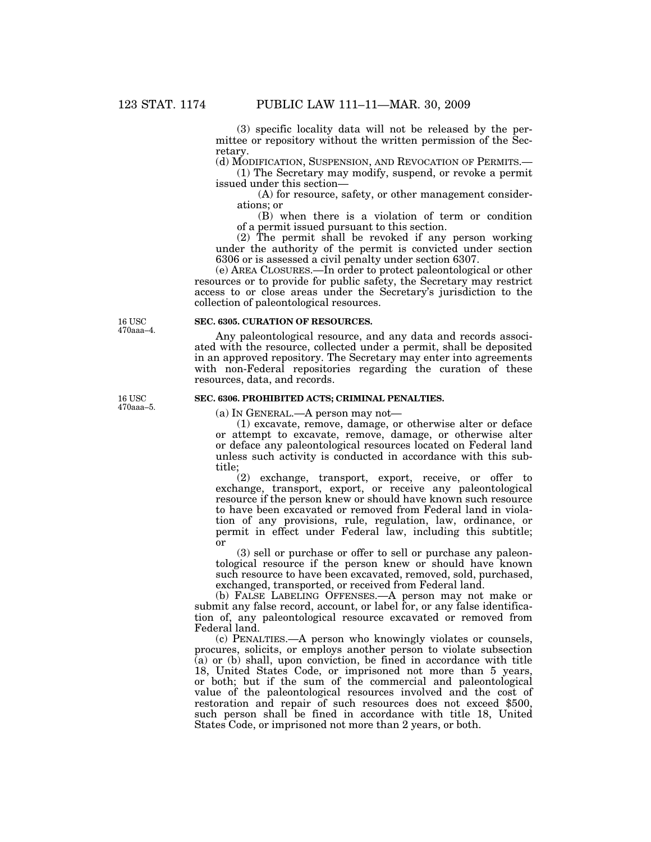(3) specific locality data will not be released by the permittee or repository without the written permission of the Secretary.

(d) MODIFICATION, SUSPENSION, AND REVOCATION OF PERMITS.—

(1) The Secretary may modify, suspend, or revoke a permit issued under this section—

(A) for resource, safety, or other management considerations; or

(B) when there is a violation of term or condition of a permit issued pursuant to this section.

(2) The permit shall be revoked if any person working under the authority of the permit is convicted under section 6306 or is assessed a civil penalty under section 6307.

(e) AREA CLOSURES.—In order to protect paleontological or other resources or to provide for public safety, the Secretary may restrict access to or close areas under the Secretary's jurisdiction to the collection of paleontological resources.

16 USC 470aaa–4.

### **SEC. 6305. CURATION OF RESOURCES.**

Any paleontological resource, and any data and records associated with the resource, collected under a permit, shall be deposited in an approved repository. The Secretary may enter into agreements with non-Federal repositories regarding the curation of these resources, data, and records.

# **SEC. 6306. PROHIBITED ACTS; CRIMINAL PENALTIES.**

(a) IN GENERAL.—A person may not—

(1) excavate, remove, damage, or otherwise alter or deface or attempt to excavate, remove, damage, or otherwise alter or deface any paleontological resources located on Federal land unless such activity is conducted in accordance with this subtitle;

(2) exchange, transport, export, receive, or offer to exchange, transport, export, or receive any paleontological resource if the person knew or should have known such resource to have been excavated or removed from Federal land in violation of any provisions, rule, regulation, law, ordinance, or permit in effect under Federal law, including this subtitle; or

(3) sell or purchase or offer to sell or purchase any paleontological resource if the person knew or should have known such resource to have been excavated, removed, sold, purchased, exchanged, transported, or received from Federal land.

(b) FALSE LABELING OFFENSES.—A person may not make or submit any false record, account, or label for, or any false identification of, any paleontological resource excavated or removed from Federal land.

(c) PENALTIES.—A person who knowingly violates or counsels, procures, solicits, or employs another person to violate subsection  $(a)$  or  $(b)$  shall, upon conviction, be fined in accordance with title 18, United States Code, or imprisoned not more than 5 years, or both; but if the sum of the commercial and paleontological value of the paleontological resources involved and the cost of restoration and repair of such resources does not exceed \$500, such person shall be fined in accordance with title 18, United States Code, or imprisoned not more than 2 years, or both.

16 USC 470aaa–5.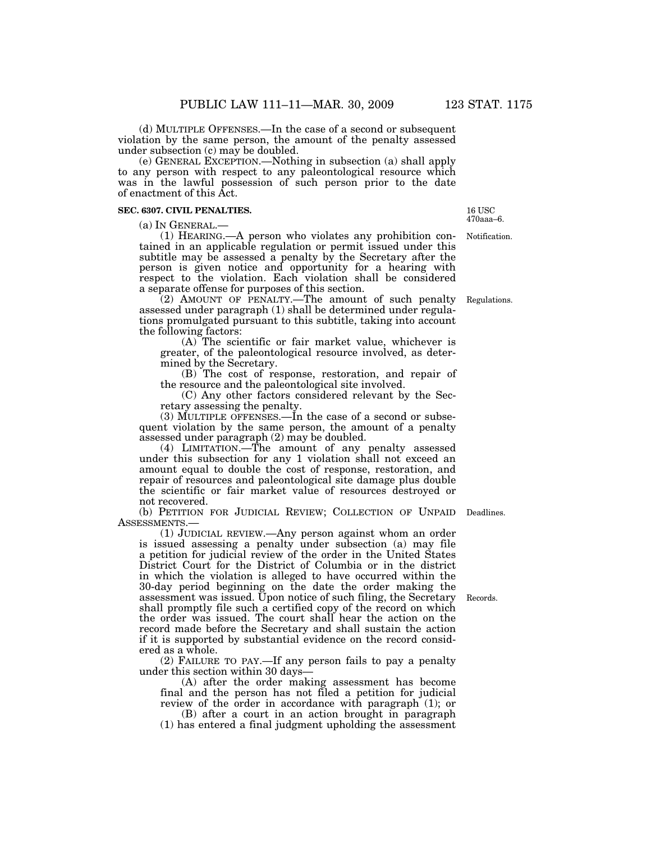(d) MULTIPLE OFFENSES.—In the case of a second or subsequent violation by the same person, the amount of the penalty assessed under subsection (c) may be doubled.

(e) GENERAL EXCEPTION.—Nothing in subsection (a) shall apply to any person with respect to any paleontological resource which was in the lawful possession of such person prior to the date of enactment of this Act.

## **SEC. 6307. CIVIL PENALTIES.**

(a) IN GENERAL.—<br>(1) HEARING.—A person who violates any prohibition contained in an applicable regulation or permit issued under this subtitle may be assessed a penalty by the Secretary after the person is given notice and opportunity for a hearing with respect to the violation. Each violation shall be considered a separate offense for purposes of this section.

(2) AMOUNT OF PENALTY.—The amount of such penalty assessed under paragraph (1) shall be determined under regulations promulgated pursuant to this subtitle, taking into account the following factors:

(A) The scientific or fair market value, whichever is greater, of the paleontological resource involved, as determined by the Secretary.

(B) The cost of response, restoration, and repair of the resource and the paleontological site involved.

(C) Any other factors considered relevant by the Secretary assessing the penalty.

(3) MULTIPLE OFFENSES.—In the case of a second or subsequent violation by the same person, the amount of a penalty assessed under paragraph (2) may be doubled.

(4) LIMITATION.—The amount of any penalty assessed under this subsection for any 1 violation shall not exceed an amount equal to double the cost of response, restoration, and repair of resources and paleontological site damage plus double the scientific or fair market value of resources destroyed or not recovered.

(b) PETITION FOR JUDICIAL REVIEW; COLLECTION OF UNPAID Deadlines. ASSESSMENTS.—

(1) JUDICIAL REVIEW.—Any person against whom an order is issued assessing a penalty under subsection (a) may file a petition for judicial review of the order in the United States District Court for the District of Columbia or in the district in which the violation is alleged to have occurred within the 30-day period beginning on the date the order making the assessment was issued. Upon notice of such filing, the Secretary shall promptly file such a certified copy of the record on which the order was issued. The court shall hear the action on the record made before the Secretary and shall sustain the action if it is supported by substantial evidence on the record considered as a whole. Records.

(2) FAILURE TO PAY.—If any person fails to pay a penalty under this section within 30 days—

(A) after the order making assessment has become final and the person has not filed a petition for judicial review of the order in accordance with paragraph (1); or

(B) after a court in an action brought in paragraph (1) has entered a final judgment upholding the assessment

Regulations.

Notification. 16 USC 470aaa–6.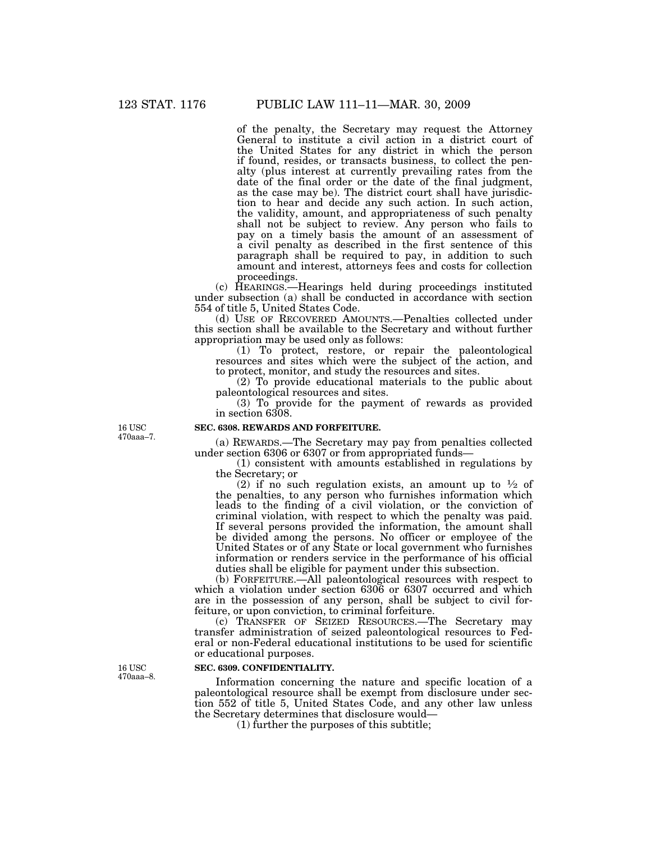of the penalty, the Secretary may request the Attorney General to institute a civil action in a district court of the United States for any district in which the person if found, resides, or transacts business, to collect the penalty (plus interest at currently prevailing rates from the date of the final order or the date of the final judgment, as the case may be). The district court shall have jurisdiction to hear and decide any such action. In such action, the validity, amount, and appropriateness of such penalty shall not be subject to review. Any person who fails to pay on a timely basis the amount of an assessment of a civil penalty as described in the first sentence of this paragraph shall be required to pay, in addition to such amount and interest, attorneys fees and costs for collection proceedings.

(c) HEARINGS.—Hearings held during proceedings instituted under subsection (a) shall be conducted in accordance with section 554 of title 5, United States Code.

(d) USE OF RECOVERED AMOUNTS.—Penalties collected under this section shall be available to the Secretary and without further appropriation may be used only as follows:

(1) To protect, restore, or repair the paleontological resources and sites which were the subject of the action, and to protect, monitor, and study the resources and sites.

(2) To provide educational materials to the public about paleontological resources and sites.

(3) To provide for the payment of rewards as provided in section 6308.

#### **SEC. 6308. REWARDS AND FORFEITURE.**

(a) REWARDS.—The Secretary may pay from penalties collected under section 6306 or 6307 or from appropriated funds—

(1) consistent with amounts established in regulations by the Secretary; or

(2) if no such regulation exists, an amount up to  $\frac{1}{2}$  of the penalties, to any person who furnishes information which leads to the finding of a civil violation, or the conviction of criminal violation, with respect to which the penalty was paid. If several persons provided the information, the amount shall be divided among the persons. No officer or employee of the United States or of any State or local government who furnishes information or renders service in the performance of his official duties shall be eligible for payment under this subsection.

(b) FORFEITURE.—All paleontological resources with respect to which a violation under section 6306 or 6307 occurred and which are in the possession of any person, shall be subject to civil forfeiture, or upon conviction, to criminal forfeiture.

(c) TRANSFER OF SEIZED RESOURCES.—The Secretary may transfer administration of seized paleontological resources to Federal or non-Federal educational institutions to be used for scientific or educational purposes.

## **SEC. 6309. CONFIDENTIALITY.**

Information concerning the nature and specific location of a paleontological resource shall be exempt from disclosure under section 552 of title 5, United States Code, and any other law unless the Secretary determines that disclosure would—

(1) further the purposes of this subtitle;

16 USC 470aaa–7.

16 USC 470aaa–8.